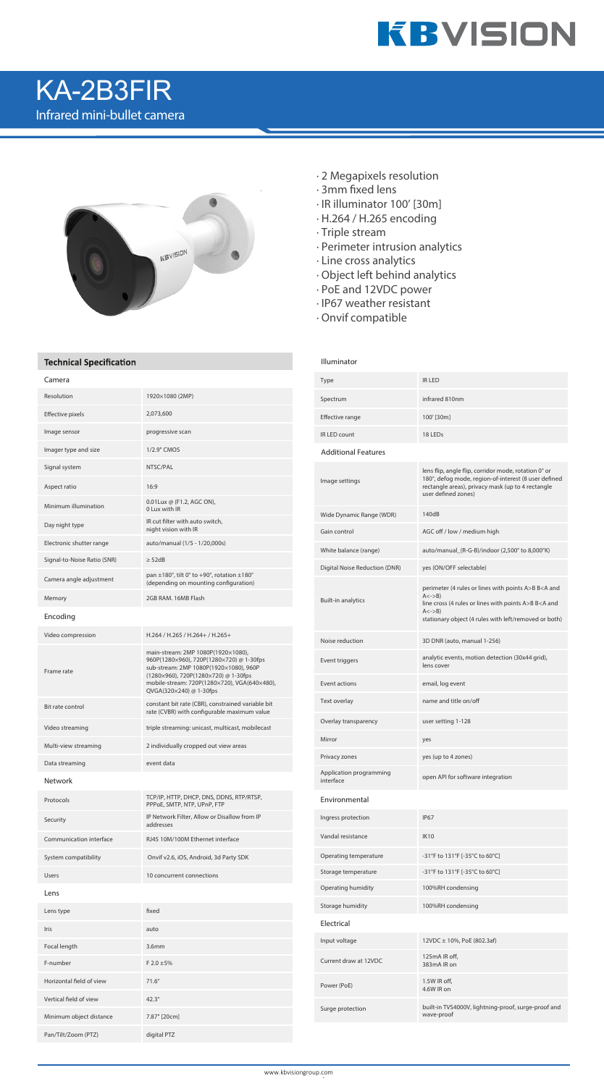

## KA-2B3FIR Infrared mini-bullet camera



### **Technical Specification**

| Camera                      |                                                                                                                                                                                                                                             |  |
|-----------------------------|---------------------------------------------------------------------------------------------------------------------------------------------------------------------------------------------------------------------------------------------|--|
| Resolution                  | 1920×1080 (2MP)                                                                                                                                                                                                                             |  |
| Effective pixels            | 2,073,600                                                                                                                                                                                                                                   |  |
| Image sensor                | progressive scan                                                                                                                                                                                                                            |  |
| Imager type and size        | 1/2.9" CMOS                                                                                                                                                                                                                                 |  |
| Signal system               | NTSC/PAL                                                                                                                                                                                                                                    |  |
| Aspect ratio                | 16:9                                                                                                                                                                                                                                        |  |
| Minimum illumination        | 0.01Lux @ (F1.2, AGC ON),<br>0 Lux with IR                                                                                                                                                                                                  |  |
| Day night type              | IR cut filter with auto switch,<br>night vision with IR                                                                                                                                                                                     |  |
| Electronic shutter range    | auto/manual (1/5 - 1/20,000s)                                                                                                                                                                                                               |  |
| Signal-to-Noise Ratio (SNR) | $\geq$ 52dB                                                                                                                                                                                                                                 |  |
| Camera angle adjustment     | pan $\pm$ 180°, tilt 0° to +90°, rotation $\pm$ 180°<br>(depending on mounting configuration)                                                                                                                                               |  |
| Memory                      | 2GB RAM, 16MB Flash                                                                                                                                                                                                                         |  |
| Encoding                    |                                                                                                                                                                                                                                             |  |
| Video compression           | H.264 / H.265 / H.264+ / H.265+                                                                                                                                                                                                             |  |
| Frame rate                  | main-stream: 2MP 1080P(1920×1080),<br>960P(1280×960), 720P(1280×720) @ 1-30fps<br>sub-stream: 2MP 1080P(1920×1080), 960P<br>(1280×960), 720P(1280×720) @ 1-30fps<br>mobile-stream: 720P(1280×720), VGA(640×480),<br>QVGA(320×240) @ 1-30fps |  |
| Bit rate control            | constant bit rate (CBR), constrained variable bit<br>rate (CVBR) with configurable maximum value                                                                                                                                            |  |
| Video streaming             | triple streaming: unicast, multicast, mobilecast                                                                                                                                                                                            |  |
| Multi-view streaming        | 2 individually cropped out view areas                                                                                                                                                                                                       |  |
| Data streaming              | event data                                                                                                                                                                                                                                  |  |
| <b>Network</b>              |                                                                                                                                                                                                                                             |  |
| Protocols                   | TCP/IP, HTTP, DHCP, DNS, DDNS, RTP/RTSP,<br>PPPoE, SMTP, NTP, UPnP, FTP                                                                                                                                                                     |  |
| Security                    | IP Network Filter, Allow or Disallow from IP<br>addresses                                                                                                                                                                                   |  |
| Communication interface     | RJ45 10M/100M Ethernet interface                                                                                                                                                                                                            |  |
| System compatibility        | Onvif v2.6, iOS, Android, 3d Party SDK                                                                                                                                                                                                      |  |
| Users                       | 10 concurrent connections                                                                                                                                                                                                                   |  |
| Lens                        |                                                                                                                                                                                                                                             |  |
| Lens type                   | fixed                                                                                                                                                                                                                                       |  |
| Iris                        | auto                                                                                                                                                                                                                                        |  |
| Focal length                | 3.6mm                                                                                                                                                                                                                                       |  |
| F-number                    | $F 2.0 \pm 5\%$                                                                                                                                                                                                                             |  |
| Horizontal field of view    | $71.6^\circ$                                                                                                                                                                                                                                |  |
| Vertical field of view      | $42.3^\circ$                                                                                                                                                                                                                                |  |
| Minimum object distance     | 7.87" [20cm]                                                                                                                                                                                                                                |  |
| Pan/Tilt/Zoom (PTZ)         | digital PTZ                                                                                                                                                                                                                                 |  |

- · 2 Megapixels resolution
- $\cdot$  3mm fixed lens
- · IR illuminator 100' [30m]
- · H.264 / H.265 encoding
- · Triple stream
- · Perimeter intrusion analytics
- · Line cross analytics
- · Object left behind analytics
- · PoE and 12VDC power
- · IP67 weather resistant
- · Onvif compatible

#### Illuminator

| Type                                 | <b>IR LED</b>                                                                                                                                                                                                                                  |
|--------------------------------------|------------------------------------------------------------------------------------------------------------------------------------------------------------------------------------------------------------------------------------------------|
| Spectrum                             | infrared 810nm                                                                                                                                                                                                                                 |
| <b>Effective range</b>               | 100' [30m]                                                                                                                                                                                                                                     |
| IR LED count                         | 18 LEDs                                                                                                                                                                                                                                        |
| <b>Additional Features</b>           |                                                                                                                                                                                                                                                |
| Image settings                       | lens flip, angle flip, corridor mode, rotation 0° or<br>180°, defog mode, region-of-interest (8 user defined<br>rectangle areas), privacy mask (up to 4 rectangle<br>user defined zones)                                                       |
| Wide Dynamic Range (WDR)             | 140dB                                                                                                                                                                                                                                          |
| Gain control                         | AGC off / low / medium high                                                                                                                                                                                                                    |
| White balance (range)                | auto/manual_(R-G-B)/indoor (2,500° to 8,000°K)                                                                                                                                                                                                 |
| Digital Noise Reduction (DNR)        | yes (ON/OFF selectable)                                                                                                                                                                                                                        |
| <b>Built-in analytics</b>            | perimeter (4 rules or lines with points A>B B <a and<br=""><math>A \le -\ge B</math><br/>line cross (4 rules or lines with points A&gt;B B<a and<br=""><math>A \lt -B</math><br/>stationary object (4 rules with left/removed or both)</a></a> |
| Noise reduction                      | 3D DNR (auto, manual 1-256)                                                                                                                                                                                                                    |
| Event triggers                       | analytic events, motion detection (30x44 grid),<br>lens cover                                                                                                                                                                                  |
| Event actions                        | email, log event                                                                                                                                                                                                                               |
| Text overlay                         | name and title on/off                                                                                                                                                                                                                          |
| Overlay transparency                 | user setting 1-128                                                                                                                                                                                                                             |
| Mirror                               | yes                                                                                                                                                                                                                                            |
| Privacy zones                        | yes (up to 4 zones)                                                                                                                                                                                                                            |
| Application programming<br>interface | open API for software integration                                                                                                                                                                                                              |
| Environmental                        |                                                                                                                                                                                                                                                |
| Ingress protection                   | IP <sub>67</sub>                                                                                                                                                                                                                               |
| Vandal resistance                    | <b>IK10</b>                                                                                                                                                                                                                                    |
| Operating temperature                | -31°F to 131°F [-35°C to 60°C]                                                                                                                                                                                                                 |
| Storage temperature                  | -31°F to 131°F [-35°C to 60°C]                                                                                                                                                                                                                 |
| Operating humidity                   | 100%RH condensing                                                                                                                                                                                                                              |
| Storage humidity                     | 100%RH condensing                                                                                                                                                                                                                              |
| Electrical                           |                                                                                                                                                                                                                                                |
| Input voltage                        | 12VDC ± 10%, PoE (802.3af)                                                                                                                                                                                                                     |
| Current draw at 12VDC                | 125mA IR off,<br>383mA IR on                                                                                                                                                                                                                   |
| Power (PoE)                          | 1.5W IR off,<br>4.6W IR on                                                                                                                                                                                                                     |
| Surge protection                     | built-in TVS4000V, lightning-proof, surge-proof and<br>wave-proof                                                                                                                                                                              |
|                                      |                                                                                                                                                                                                                                                |